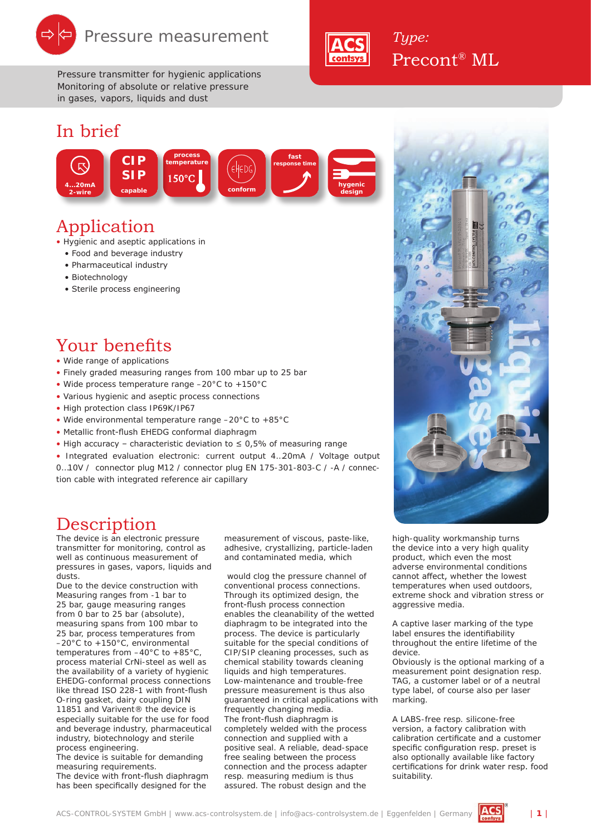

*Pressure transmitter for hygienic applications Monitoring of absolute or relative pressure in gases, vapors, liquids and dust*

#### In brief



#### Application

• Hygienic and aseptic applications in

- Food and beverage industry
- Pharmaceutical industry
- Biotechnology
- Sterile process engineering

#### Your benefits

#### • Wide range of applications

- Finely graded measuring ranges from 100 mbar up to 25 bar
- Wide process temperature range –20°C to +150°C
- Various hygienic and aseptic process connections
- High protection class IP69K/IP67
- Wide environmental temperature range –20°C to +85°C
- Metallic front-flush EHEDG conformal diaphragm
- High accuracy characteristic deviation to  $\leq$  0,5% of measuring range

• Integrated evaluation electronic: current output 4…20mA / Voltage output 0…10V / connector plug M12 / connector plug EN 175-301-803-C / -A / connection cable with integrated reference air capillary

#### **Description**

The device is an electronic pressure transmitter for monitoring, control as well as continuous measurement of pressures in gases, vapors, liquids and dusts.

Due to the device construction with Measuring ranges from -1 bar to 25 bar, gauge measuring ranges from 0 bar to 25 bar (absolute), measuring spans from 100 mbar to 25 bar, process temperatures from –20°C to +150°C, environmental temperatures from –40°C to +85°C, process material CrNi-steel as well as the availability of a variety of hygienic EHEDG-conformal process connections like thread ISO 228-1 with front-flush O-ring gasket, dairy coupling DIN 11851 and Varivent® the device is especially suitable for the use for food and beverage industry, pharmaceutical industry, biotechnology and sterile process engineering.

The device is suitable for demanding measuring requirements.

The device with front-flush diaphragm has been specifically designed for the

measurement of viscous, paste-like, adhesive, crystallizing, particle-laden and contaminated media, which

 would clog the pressure channel of conventional process connections. Through its optimized design, the front-flush process connection enables the cleanability of the wetted diaphragm to be integrated into the process. The device is particularly suitable for the special conditions of CIP/SIP cleaning processes, such as chemical stability towards cleaning liquids and high temperatures. Low-maintenance and trouble-free pressure measurement is thus also guaranteed in critical applications with frequently changing media. The front-flush diaphragm is completely welded with the process connection and supplied with a positive seal. A reliable, dead-space free sealing between the process connection and the process adapter resp. measuring medium is thus assured. The robust design and the

high-quality workmanship turns the device into a very high quality product, which even the most adverse environmental conditions cannot affect, whether the lowest temperatures when used outdoors, extreme shock and vibration stress or aggressive media.

A captive laser marking of the type label ensures the identifiability throughout the entire lifetime of the device.

Obviously is the optional marking of a measurement point designation resp. TAG, a customer label or of a neutral type label, of course also per laser marking.

A LABS-free resp. silicone-free version, a factory calibration with calibration certificate and a customer specific configuration resp. preset is also optionally available like factory certifications for drink water resp. food suitability.



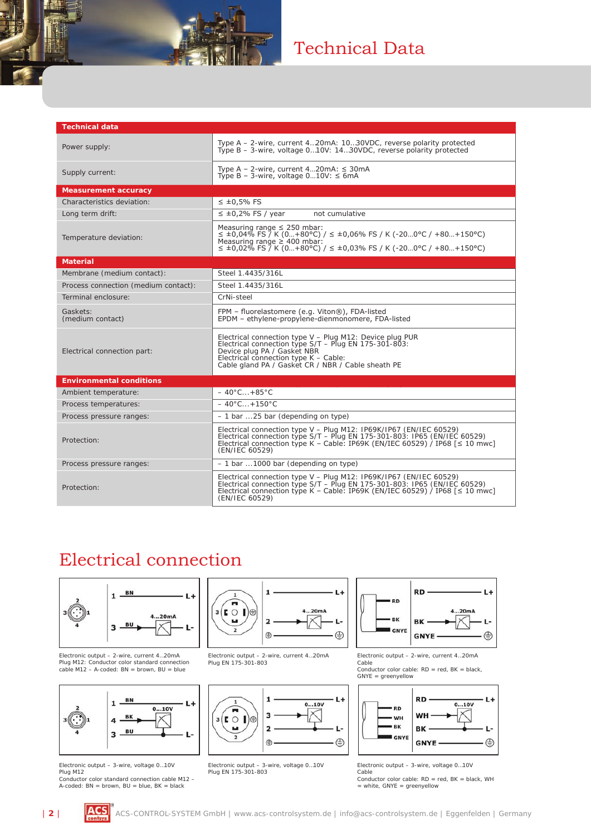## Technical Data

| <b>Technical data</b>                |                                                                                                                                                                                                                                                           |
|--------------------------------------|-----------------------------------------------------------------------------------------------------------------------------------------------------------------------------------------------------------------------------------------------------------|
| Power supply:                        | Type A – 2-wire, current 420mA: 1030VDC, reverse polarity protected<br>Type B – 3-wire, voltage 010V: 1430VDC, reverse polarity protected                                                                                                                 |
| Supply current:                      | Type A - 2-wire, current $420mA$ : $\leq$ 30mA<br>Type B - 3-wire, voltage $010V$ : $\leq$ 6mA                                                                                                                                                            |
| <b>Measurement accuracy</b>          |                                                                                                                                                                                                                                                           |
| Characteristics deviation:           | $\leq$ ±0,5% FS                                                                                                                                                                                                                                           |
| Long term drift:                     | $\leq$ ±0,2% FS / year<br>not cumulative                                                                                                                                                                                                                  |
| Temperature deviation:               | Measuring range $\leq$ 250 mbar:<br>$\leq$ ±0,04% FS $\frac{7}{7}$ K (0+80°C) / $\leq$ ±0,06% FS / K (-200°C / +80+150°C)<br>Measuring range $\geq$ 400 mbar:<br>$\leq$ ±0,02% FS $\frac{7}{1}$ K (0+80°C) / $\leq$ ±0,03% FS / K (-200°C / +80+150°C)    |
| <b>Material</b>                      |                                                                                                                                                                                                                                                           |
| Membrane (medium contact):           | Steel 1.4435/316L                                                                                                                                                                                                                                         |
| Process connection (medium contact): | Steel 1.4435/316L                                                                                                                                                                                                                                         |
| Terminal enclosure:                  | CrNi-steel                                                                                                                                                                                                                                                |
| Gaskets:<br>(medium contact)         | FPM - fluorelastomere (e.g. Viton®), FDA-listed<br>EPDM - ethylene-propylene-dienmonomere, FDA-listed                                                                                                                                                     |
| Electrical connection part:          | Electrical connection type V - Plug M12: Device plug PUR<br>Electrical connection type S/T - Plug EN 175-301-803:<br>Device plug PA / Gasket NBR<br>Electrical connection type K - Cable:<br>Cable gland PA / Gasket CR / NBR / Cable sheath PE           |
| <b>Environmental conditions</b>      |                                                                                                                                                                                                                                                           |
| Ambient temperature:                 | $-40^{\circ}$ C +85 $^{\circ}$ C                                                                                                                                                                                                                          |
| Process temperatures:                | $-40^{\circ}$ C + 150 $^{\circ}$ C                                                                                                                                                                                                                        |
| Process pressure ranges:             | $-1$ bar 25 bar (depending on type)                                                                                                                                                                                                                       |
| Protection:                          | Electrical connection type V - Plug M12: IP69K/IP67 (EN/IEC 60529)<br>Electrical connection type S/T - Plug EN 175-301-803: IP65 (EN/IEC 60529)<br>Electrical connection type K – Cable: IP69K (EN/IEC 60529) / IP68 [ $\leq 10$ mwc]<br>(EN/IEC 60529)   |
| Process pressure ranges:             | $-1$ bar 1000 bar (depending on type)                                                                                                                                                                                                                     |
| Protection:                          | Electrical connection type V - Plug M12: IP69K/IP67 (EN/IEC 60529)<br>Electrical connection type $S/T -$ Plug EN 175-301-803: IP65 (EN/IEC 60529)<br>Electrical connection type K – Cable: IP69K (EN/IEC 60529) / IP68 [ $\leq 10$ mwc]<br>(EN/IEC 60529) |

### Electrical connection



Electronic output – 2-wire, current 4…20mA Plug M12: Conductor color standard connection cable M12 – A-coded: BN = brown, BU = blue



Electronic output – 3-wire, voltage 0…10V Plug M12

Conductor color standard connection cable M12 – A-coded:  $BN = brown$ ,  $BU = blue$ ,  $BK = black$ 



Electronic output – 2-wire, current 4…20mA Plug EN 175-301-803



Electronic output – 3-wire, voltage 0…10V Plug EN 175-301-803



Electronic output – 2-wire, current 4…20mA Cable Conductor color cable: RD = red, BK = black, GNYE = greenyellow



Electronic output – 3-wire, voltage 0…10V Cable

 $\frac{60}{20}$ Conductor color cable: RD = red, BK = black, WH = white, GNYE = greenyellow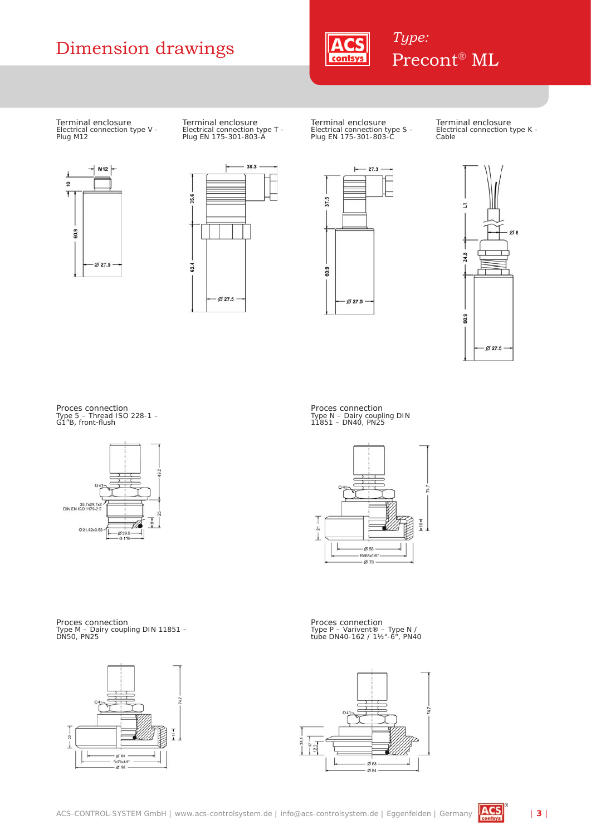# Dimension drawings **ACS** *Type:*<br>Precont® ML



Terminal enclosure Electrical connection type V - Plug M12



Terminal enclosure Electrical connection type T - Plug EN 175-301-803-A



Terminal enclosure Electrical connection type S - Plug EN 175-301-803-C Terminal enclosure Electrical connection type K - Cable





Proces connection Type 5 – Thread ISO 228-1 – G1"B, front-flush



Proces connection Type N – Dairy coupling DIN 11851 – DN40, PN25



Proces connection Type M – Dairy coupling DIN 11851 – DN50, PN25



Proces connection Type P – Varivent® – Type N / tube DN40-162 / 1½"-6", PN40